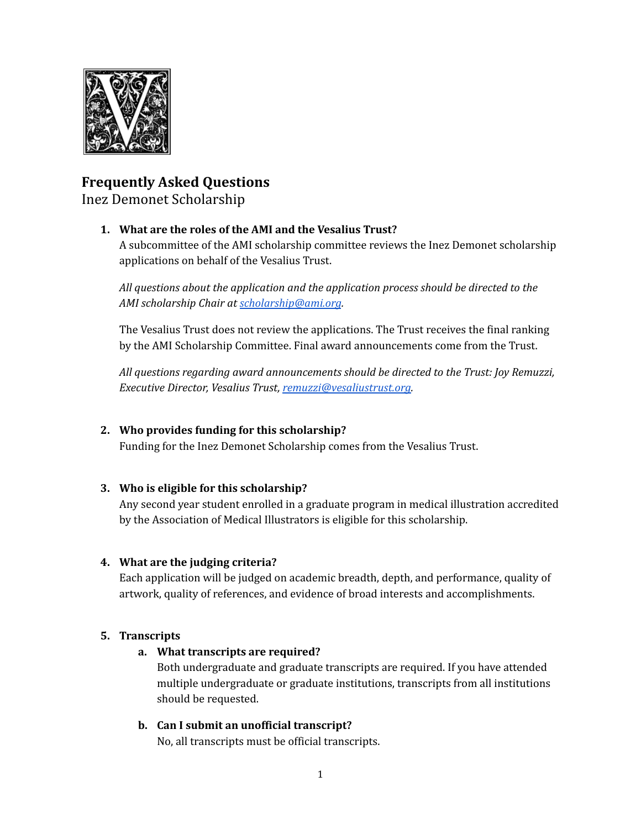

# **Frequently Asked Questions**

Inez Demonet Scholarship

### **1. What are the roles of the AMI and the Vesalius Trust?**

A subcommittee of the AMI scholarship committee reviews the Inez Demonet scholarship applications on behalf of the Vesalius Trust.

*All questions about the application and the application process should be directed to the AMI scholarship Chair at [scholarship@ami.org](mailto:scholarship@ami.org).*

The Vesalius Trust does not review the applications. The Trust receives the final ranking by the AMI Scholarship Committee. Final award announcements come from the Trust.

*All questions regarding award announcements should be directed to the Trust: Joy Remuzzi, Executive Director, Vesalius Trust, [remuzzi@vesaliustrust.org.](mailto:remuzzi@vesaliustrust.org)*

# **2. Who provides funding for this scholarship?**

Funding for the Inez Demonet Scholarship comes from the Vesalius Trust.

# **3. Who is eligible for this scholarship?**

Any second year student enrolled in a graduate program in medical illustration accredited by the Association of Medical Illustrators is eligible for this scholarship.

### **4. What are the judging criteria?**

Each application will be judged on academic breadth, depth, and performance, quality of artwork, quality of references, and evidence of broad interests and accomplishments.

# **5. Transcripts**

### **a. What transcripts are required?**

Both undergraduate and graduate transcripts are required. If you have attended multiple undergraduate or graduate institutions, transcripts from all institutions should be requested.

# **b. Can I submit an unofficial transcript?**

No, all transcripts must be official transcripts.